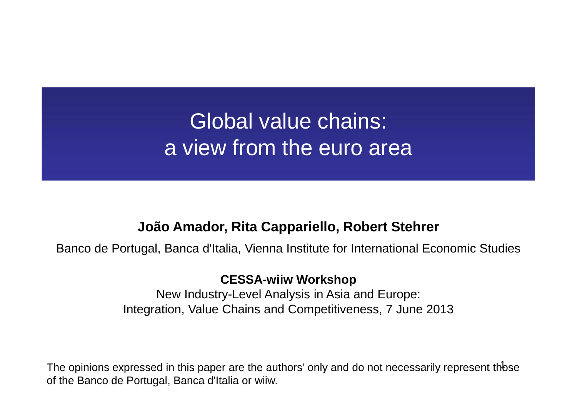### Global value chains: a view from the euro area

#### **João Amador, Rita Cappariello, Robert Stehrer**

Banco de Portugal, Banca d'Italia, Vienna Institute for International Economic Studies

#### **CESSA-wiiw Workshop**

 New Industry-Level Analysis in Asia and Europe:Integration, Value Chains and Competitiveness, 7 June 2013

The opinions expressed in this paper are the authors' only and do not necessarily represent th $\operatorname{\mathsf{bse}}$ of the Banco de Portugal, Banca d'Italia or wiiw.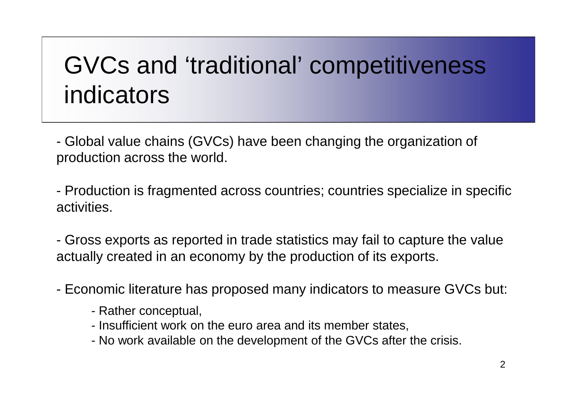# GVCs and 'traditional' competitiveness indicators

- Global value chains (GVCs) have been changing the organization of production across the world.

- Production is fragmented across countries; countries specialize in specific activities.

- Gross exports as reported in trade statistics may fail to capture the value actually created in an economy by the production of its exports.

-Economic literature has proposed many indicators to measure GVCs but:

- Rather conceptual,
- Insufficient work on the euro area and its member states,
- No work available on the development of the GVCs after the crisis.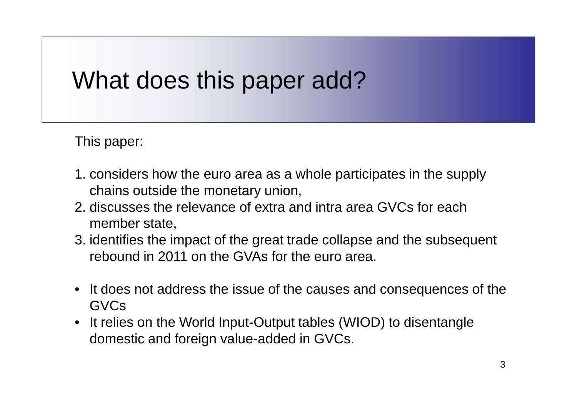## What does this paper add?

This paper:

- 1. considers how the euro area as a whole participates in the supply chains outside the monetary union,
- 2. discusses the relevance of extra and intra area GVCs for each member state,
- 3. identifies the impact of the great trade collapse and the subsequent rebound in 2011 on the GVAs for the euro area.
- • It does not address the issue of the causes and consequences of the GVCs
- It relies on the World Input-Output tables (WIOD) to disentangle domestic and foreign value-added in GVCs.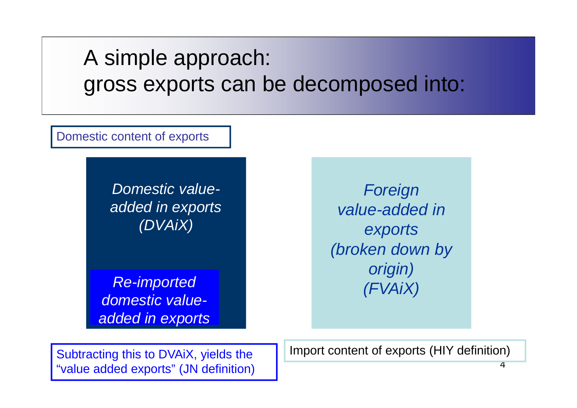A simple approach: gross exports can be decomposed into:

Domestic content of exports

Domestic valueadded in exports(DVAiX)

 Re-imported domestic valueadded in exports

e<br>Sandwalue-added in the set of the value-added in the set of the set of the set of the value-added in the set o<br>Sandwalue set of the set of the set of the set of the set of the set of the set of the set of the set of the exports (broken down by origin)(FVAiX)

"value added exports" (JN definition)

Subtracting this to DVAiX, yields the Import content of exports (HIY definition)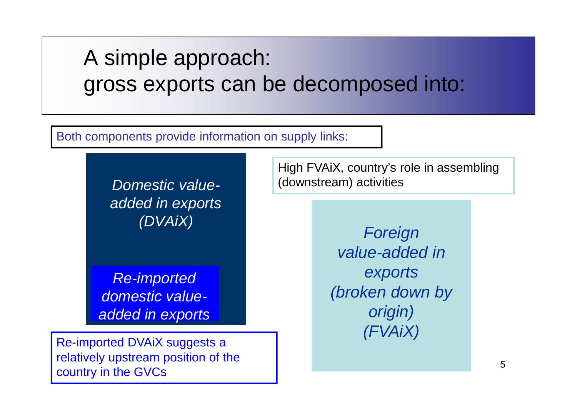### A simple approach: gross exports can be decomposed into:

Both components provide information on supply links:

Domestic valueadded in exports(DVAiX)

Re-imported domestic valueadded in exports

Re-imported DVAiX suggests a relatively upstream position of the country in the GVCs

High FVAiX, country's role in assembling (downstream) activities

> Foreign value-added in exports (broken down by origin)(FVAiX)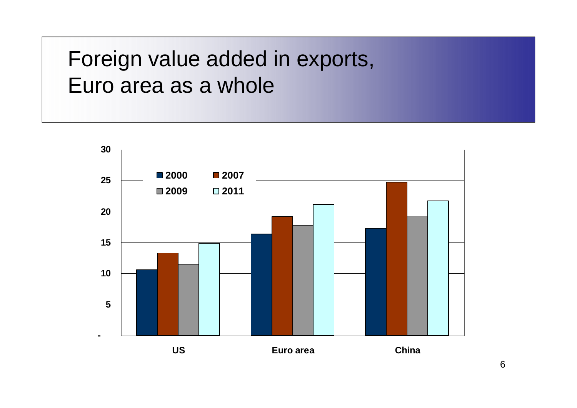Foreign value added in exports,Euro area as a whole

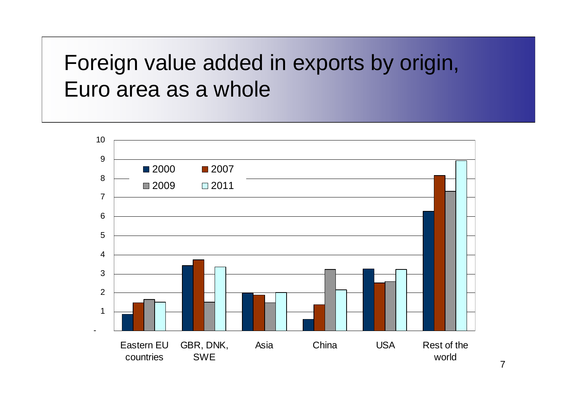Foreign value added in exports by origin,Euro area as a whole

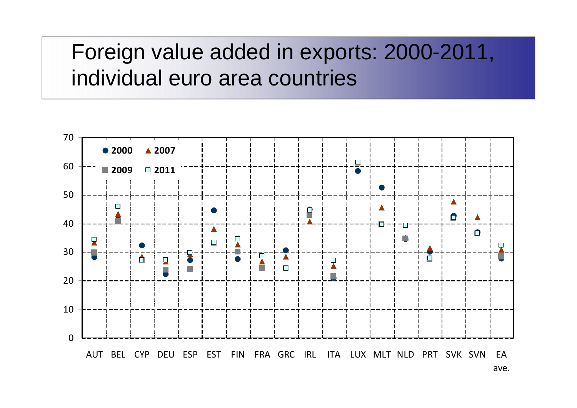### Foreign value added in exports: 2000-2011,individual euro area countries

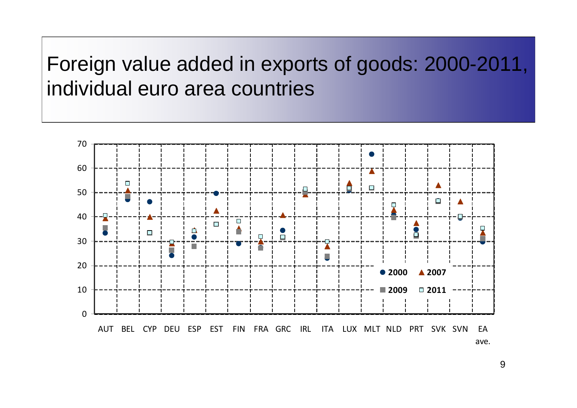Foreign value added in exports of goods: 2000-2011,individual euro area countries

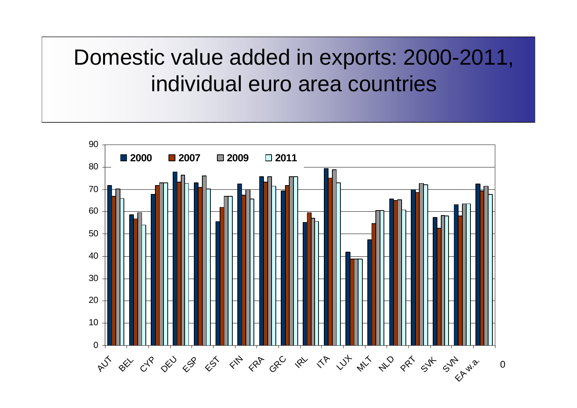Domestic value added in exports: 2000-2011,individual euro area countries

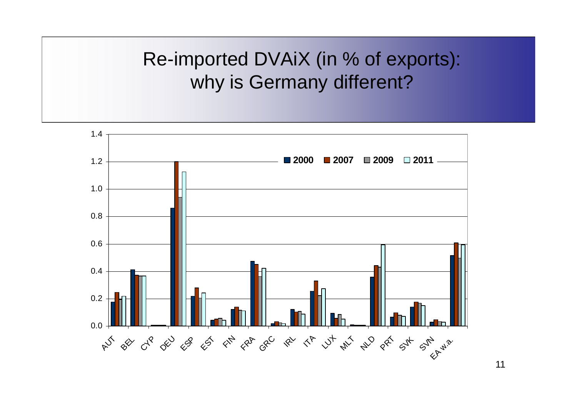### Re-imported DVAiX (in % of exports):why is Germany different?



11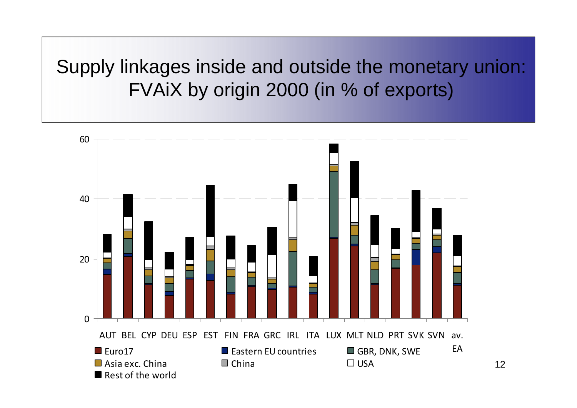Supply linkages inside and outside the monetary union:FVAiX by origin 2000 (in % of exports)

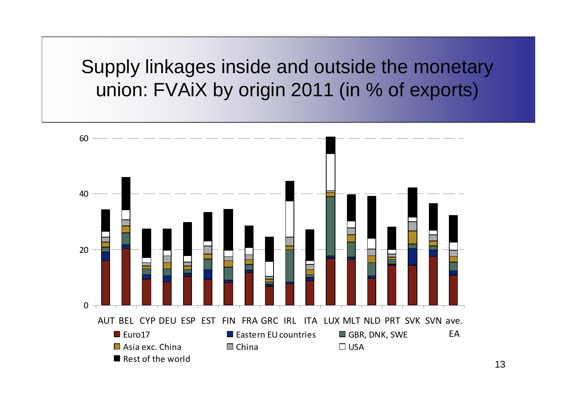Supply linkages inside and outside the monetary union: FVAiX by origin 2011 (in % of exports)

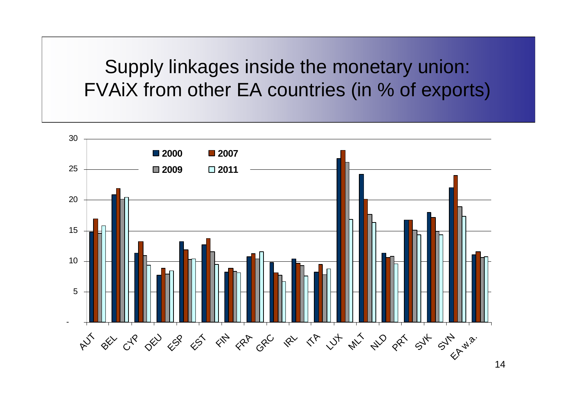#### Supply linkages inside the monetary union:FVAiX from other EA countries (in % of exports)

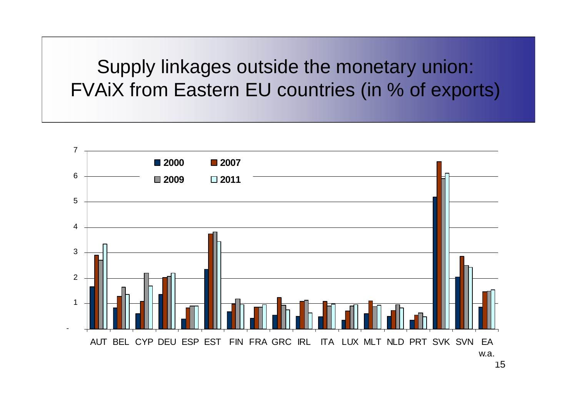### Supply linkages outside the monetary union:FVAiX from Eastern EU countries (in % of exports)

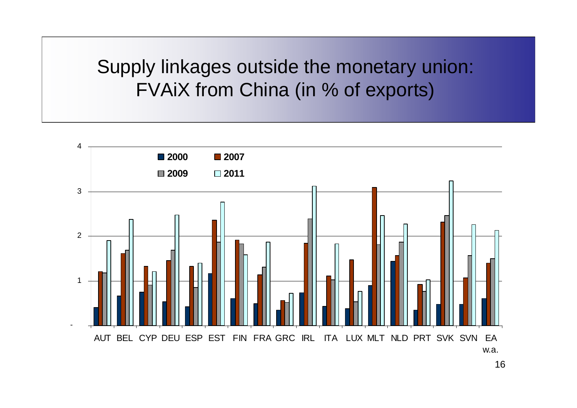Supply linkages outside the monetary union:FVAiX from China (in % of exports)

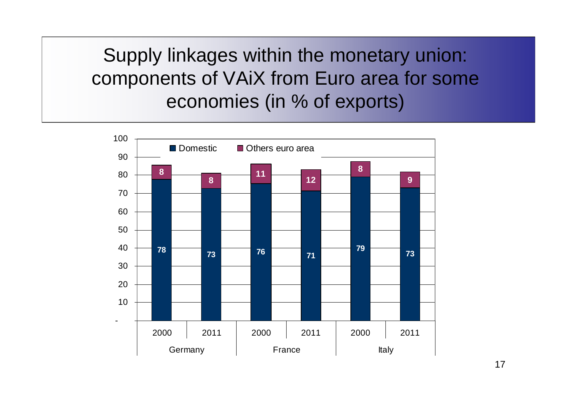Supply linkages within the monetary union:components of VAiX from Euro area for some economies (in % of exports)

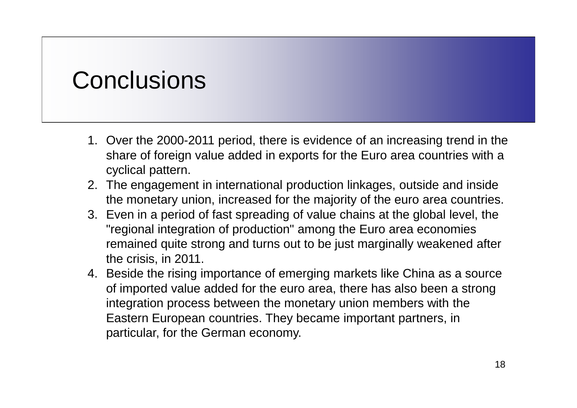## **Conclusions**

- 1. Over the 2000-2011 period, there is evidence of an increasing trend in the share of foreign value added in exports for the Euro area countries with a cyclical pattern.
- 2. The engagement in international production linkages, outside and inside the monetary union, increased for the majority of the euro area countries.
- 3. Even in a period of fast spreading of value chains at the global level, the "regional integration of production" among the Euro area economies remained quite strong and turns out to be just marginally weakened after the crisis, in 2011.
- 4. Beside the rising importance of emerging markets like China as a source of imported value added for the euro area, there has also been a strong integration process between the monetary union members with the Eastern European countries. They became important partners, in particular, for the German economy.